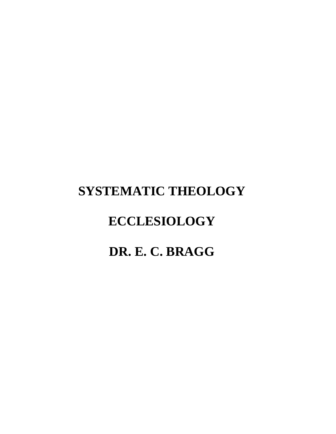# **SYSTEMATIC THEOLOGY ECCLESIOLOGY DR. E. C. BRAGG**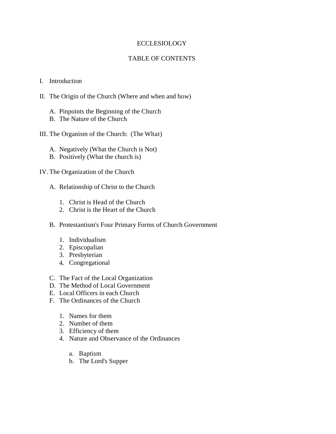# ECCLESIOLOGY

# TABLE OF CONTENTS

## I. Introduction

- II. The Origin of the Church (Where and when and how)
	- A. Pinpoints the Beginning of the Church
	- B. The Nature of the Church
- III. The Organism of the Church: (The What)
	- A. Negatively (What the Church is Not)
	- B. Positively (What the church is)
- IV. The Organization of the Church
	- A. Relationship of Christ to the Church
		- 1. Christ is Head of the Church
		- 2. Christ is the Heart of the Church
	- B. Protestantism's Four Primary Forms of Church Government
		- 1. Individualism
		- 2. Episcopalian
		- 3. Presbyterian
		- 4. Congregational
	- C. The Fact of the Local Organization
	- D. The Method of Local Government
	- E. Local Officers in each Church
	- F. The Ordinances of the Church
		- 1. Names for them
		- 2. Number of them
		- 3. Efficiency of them
		- 4. Nature and Observance of the Ordinances
			- a. Baptism
			- b. The Lord's Supper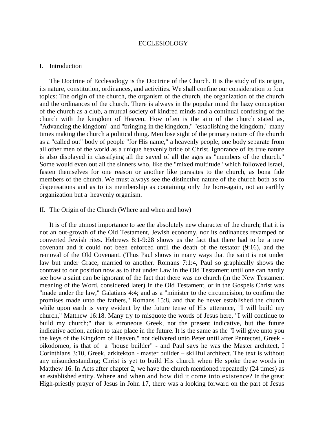#### ECCLESIOLOGY

#### I. Introduction

 The Doctrine of Ecclesiology is the Doctrine of the Church. It is the study of its origin, its nature, constitution, ordinances, and activities. We shall confine our consideration to four topics: The origin of the church, the organism of the church, the organization of the church and the ordinances of the church. There is always in the popular mind the hazy conception of the church as a club, a mutual society of kindred minds and a continual confusing of the church with the kingdom of Heaven. How often is the aim of the church stated as, "Advancing the kingdom" and "bringing in the kingdom," "establishing the kingdom," many times making the church a political thing. Men lose sight of the primary nature of the church as a "called out" body of people "for His name," a heavenly people, one body separate from all other men of the world as a unique heavenly bride of Christ. Ignorance of its true nature is also displayed in classifying all the saved of all the ages as "members of the church." Some would even out all the sinners who, like the "mixed multitude" which followed Israel, fasten themselves for one reason or another like parasites to the church, as bona fide members of the church. We must always see the distinctive nature of the church both as to dispensations and as to its membership as containing only the born-again, not an earthly organization but a heavenly organism.

#### II. The Origin of the Church (Where and when and how)

 It is of the utmost importance to see the absolutely new character of the church; that it is not an out-growth of the Old Testament, Jewish economy, nor its ordinances revamped or converted Jewish rites. Hebrews 8:1-9:28 shows us the fact that there had to be a new covenant and it could not been enforced until the death of the testator (9:16), and the removal of the Old Covenant. (Thus Paul shows in many ways that the saint is not under law but under Grace, married to another. Romans 7:1:4, Paul so graphically shows the contrast to our position now as to that under Law in the Old Testament until one can hardly see how a saint can be ignorant of the fact that there was no church (in the New Testament meaning of the Word, considered later) In the Old Testament, or in the Gospels Christ was "made under the law," Galatians 4:4; and as a "minister to the circumcision, to confirm the promises made unto the fathers," Romans 15:8, and that he never established the church while upon earth is very evident by the future tense of His utterance, "I will build my church," Matthew 16:18. Many try to misquote the words of Jesus here, "I will continue to build my church;" that is erroneous Greek, not the present indicative, but the future indicative action, action to take place in the future. It is the same as the "I will give unto you the keys of the Kingdom of Heaven," not delivered unto Peter until after Pentecost, Greek oikodomeo, is that of a "house builder" - and Paul says he was the Master architect, I Corinthians 3:10, Greek, arkitekton - master builder – skillful architect. The text is without any misunderstanding; Christ is yet to build His church when He spoke these words in Matthew 16. In Acts after chapter 2, we have the church mentioned repeatedly (24 times) as an established entity. Where and when and how did it come into existence? In the great High-priestly prayer of Jesus in John 17, there was a looking forward on the part of Jesus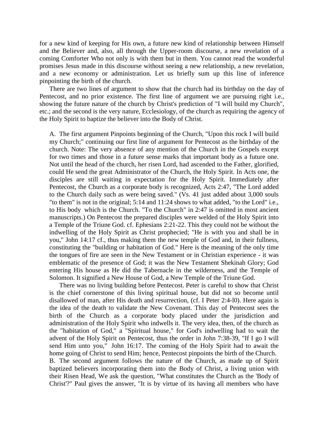for a new kind of keeping for His own, a future new kind of relationship between Himself and the Believer and, also, all through the Upper-room discourse, a new revelation of a coming Comforter Who not only is with them but in them. You cannot read the wonderful promises Jesus made in this discourse without seeing a new relationship, a new revelation, and a new economy or administration. Let us briefly sum up this line of inference pinpointing the birth of the church.

 There are two lines of argument to show that the church had its birthday on the day of Pentecost, and no prior existence. The first line of argument we are pursuing right i.e., showing the future nature of the church by Christ's prediction of "I will build my Church", etc.; and the second is the very nature, Ecclesiology, of the church as requiring the agency of the Holy Spirit to baptize the believer into the Body of Christ.

A. The first argument Pinpoints beginning of the Church, "Upon this rock I will build my Church;" continuing our first line of argument for Pentecost as the birthday of the church. Note: The very absence of any mention of the Church in the Gospels except for two times and those in a future sense marks that important body as a future one. Not until the head of the church, her risen Lord, had ascended to the Father, glorified, could He send the great Administrator of the Church, the Holy Spirit. In Acts one, the disciples are still waiting in expectation for the Holy Spirit. Immediately after Pentecost, the Church as a corporate body is recognized, Acts 2:47, "The Lord added to the Church daily such as were being saved." (Vs. 41 just added about 3,000 souls "to them" is not in the original; 5:14 and 11:24 shows to what added, "to the Lord" i.e., to His body which is the Church. "To the Church" in 2:47 is omitted in most ancient manuscripts.) On Pentecost the prepared disciples were welded of the Holy Spirit into a Temple of the Triune God. cf. Ephesians 2:21-22. This they could not be without the indwelling of the Holy Spirit as Christ prophecied; "He is with you and shall be in you," John 14:17 cf., thus making them the new temple of God and, in their fullness, constituting the "building or habitation of God." Here is the meaning of the only time the tongues of fire are seen in the New Testament or in Christian experience - it was emblematic of the presence of God; it was the New Testament Shekinah Glory; God entering His house as He did the Tabernacle in the wilderness, and the Temple of Solomon. It signified a New House of God, a New Temple of the Triune God.

 There was no living building before Pentecost. Peter is careful to show that Christ is the chief cornerstone of this living spiritual house, but did not so become until disallowed of man, after His death and resurrection, (cf. I Peter 2:4-l0). Here again is the idea of the death to validate the New Covenant. This day of Pentecost sees the birth of the Church as a corporate body placed under the jurisdiction and administration of the Holy Spirit who indwells it. The very idea, then, of the church as the "habitation of God," a "Spiritual house," for God's indwelling had to wait the advent of the Holy Spirit on Pentecost, thus the order in John 7:38-39, "If I go I will send Him unto you," John 16:17. The coming of the Holy Spirit had to await the home going of Christ to send Him; hence, Pentecost pinpoints the birth of the Church. B. The second argument follows the nature of the Church, as made up of Spirit baptized believers incorporating them into the Body of Christ, a living union with their Risen Head, We ask the question, "What constitutes the Church as the 'Body of Christ'?" Paul gives the answer, "It is by virtue of its having all members who have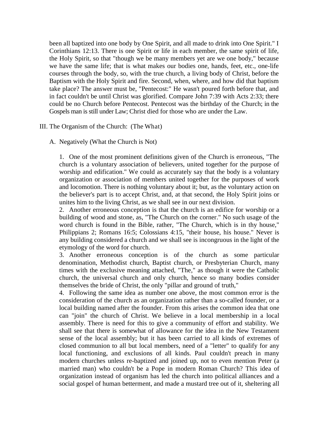been all baptized into one body by One Spirit, and all made to drink into One Spirit." I Corinthians 12:13. There is one Spirit or life in each member, the same spirit of life, the Holy Spirit, so that "though we be many members yet are we one body," because we have the same life; that is what makes our bodies one, hands, feet, etc., one-life courses through the body, so, with the true church, a living body of Christ, before the Baptism with the Holy Spirit and fire. Second, when, where, and how did that baptism take place? The answer must be, "Pentecost:" He wasn't poured forth before that, and in fact couldn't be until Christ was glorified. Compare John 7:39 with Acts 2:33; there could be no Church before Pentecost. Pentecost was the birthday of the Church; in the Gospels man is still under Law; Christ died for those who are under the Law.

III. The Organism of the Church: (The What)

A. Negatively (What the Church is Not)

1. One of the most prominent definitions given of the Church is erroneous, "The church is a voluntary association of believers, united together for the purpose of worship and edification." We could as accurately say that the body is a voluntary organization or association of members united together for the purposes of work and locomotion. There is nothing voluntary about it; but, as the voluntary action on the believer's part is to accept Christ, and, at that second, the Holy Spirit joins or unites him to the living Christ, as we shall see in our next division.

2. Another erroneous conception is that the church is an edifice for worship or a building of wood and stone, as, "The Church on the corner." No such usage of the word church is found in the Bible, rather, "The Church, which is in thy house," Philippians 2; Romans 16:5; Colossians 4:15, "their house, his house." Never is any building considered a church and we shall see is incongruous in the light of the etymology of the word for church.

3. Another erroneous conception is of the church as some particular denomination, Methodist church, Baptist church, or Presbyterian Church, many times with the exclusive meaning attached, "The," as though it were the Catholic church, the universal church and only church, hence so many bodies consider themselves the bride of Christ, the only "pillar and ground of truth,"

4. Following the same idea as number one above, the most common error is the consideration of the church as an organization rather than a so-called founder, or a local building named after the founder. From this arises the common idea that one can "join" the church of Christ. We believe in a local membership in a local assembly. There is need for this to give a community of effort and stability. We shall see that there is somewhat of allowance for the idea in the New Testament sense of the local assembly; but it has been carried to all kinds of extremes of closed communion to all but local members, need of a "letter" to qualify for any local functioning, and exclusions of all kinds. Paul couldn't preach in many modern churches unless re-baptized and joined up, not to even mention Peter (a married man) who couldn't be a Pope in modern Roman Church? This idea of organization instead of organism has led the church into political alliances and a social gospel of human betterment, and made a mustard tree out of it, sheltering all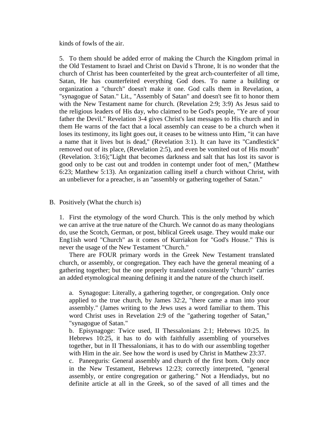kinds of fowls of the air.

5. To them should be added error of making the Church the Kingdom primal in the Old Testament to Israel and Christ on David s Throne, It is no wonder that the church of Christ has been counterfeited by the great arch-counterfeiter of all time, Satan, He has counterfeited everything God does. To name a building or organization a "church" doesn't make it one. God calls them in Revelation, a "synagogue of Satan." Lit., "Assembly of Satan" and doesn't see fit to honor them with the New Testament name for church. (Revelation 2:9; 3:9) As Jesus said to the religious leaders of His day, who claimed to be God's people, "Ye are of your father the Devil." Revelation 3-4 gives Christ's last messages to His church and in them He warns of the fact that a local assembly can cease to be a church when it loses its testimony, its light goes out, it ceases to be witness unto Him, "it can have a name that it lives but is dead," (Revelation 3:1). It can have its "Candlestick" removed out of its place, (Revelation 2:5), and even be vomited out of His mouth" (Revelation. 3:16);"Light that becomes darkness and salt that has lost its savor is good only to be cast out and trodden in contempt under foot of men," (Matthew 6:23; Matthew 5:13). An organization calling itself a church without Christ, with an unbeliever for a preacher, is an "assembly or gathering together of Satan."

#### B. Positively (What the church is)

1. First the etymology of the word Church. This is the only method by which we can arrive at the true nature of the Church. We cannot do as many theologians do, use the Scotch, German, or post, biblical Greek usage. They would make our Eng1ish word "Church" as it comes of Kurriakon for "God's House." This is never the usage of the New Testament "Church."

 There are FOUR primary words in the Greek New Testament translated church, or assembly, or congregation. They each have the general meaning of a gathering together; but the one properly translated consistently "church" carries an added etymological meaning defining it and the nature of the church itself.

a. Synagogue: Literally, a gathering together, or congregation. Only once applied to the true church, by James 32:2, "there came a man into your assembly." (James writing to the Jews uses a word familiar to them. This word Christ uses in Revelation 2:9 of the "gathering together of Satan," "synagogue of Satan."

b. Episynagoge: Twice used, II Thessalonians 2:1; Hebrews 10:25. In Hebrews 10:25, it has to do with faithfully assembling of yourselves together, but in II Thessalonians, it has to do with our assembling together with Him in the air. See how the word is used by Christ in Matthew 23:37.

c. Paneeguris: General assembly and church of the first born. Only once in the New Testament, Hebrews 12:23; correctly interpreted, "general assembly, or entire congregation or gathering." Not a Hendiadys, but no definite article at all in the Greek, so of the saved of all times and the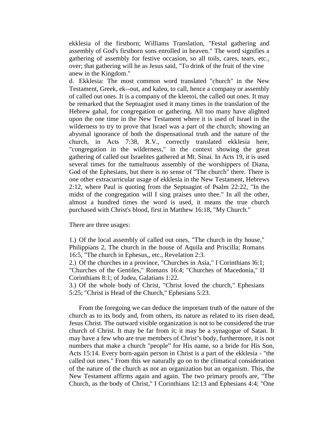ekklesia of the firstborn; Williams Translation, "Festal gathering and assembly of God's firstborn sons enrolled in heaven." The word signifies a gathering of assembly for festive occasion, so all toils, cares, tears, etc., over; that gathering will he as Jesus said, "To drink of the fruit of the vine anew in the Kingdom."

d. Ekklesia: The most common word translated "church" in the New Testament, Greek, ek--out, and kaleo, to call, hence a company or assembly of called out ones. It is a company of the kleetoi, the called out ones. It may be remarked that the Septuagint used it many times in the translation of the Hebrew gahal, for congregation or gathering. All too many have alighted upon the one time in the New Testament where it is used of Israel in the wilderness to try to prove that Israel was a part of the church; showing an abysmal ignorance of both the dispensational truth and the nature of the church, in Acts 7:38, R.V., correctly translated ekklesia here, "congregation in the wilderness," in the context showing the great gathering of called out Israelites gathered at Mt. Sinai. In Acts 19, it is used several times for the tumultuous assembly of the worshippers of Diana, God of the Ephesians, but there is no sense of "The church" there. There is one other extracurricular usage of ekklesia in the New Testament, Hebrews 2:12, where Paul is quoting from the Septuagint of Psalm 22:22, "In the midst of the congregation will I sing praises unto thee." In all the other, almost a hundred times the word is used, it means the true church purchased with Christ's blood, first in Matthew 16:18, "My Church."

There are three usages:

1.) Of the local assembly of called out ones, "The church in thy house," Philippians 2, The church in the house of Aquila and Priscilla; Romans 16:5, "The church in Ephesus,, etc., Revelation 2:3.

2.) Of the churches in a province, "Churches in Asia," I Corinthians l6:1; "Churches of the Gentiles," Romans 16:4; "Churches of Macedonia," II Corinthians 8:1; of Judea, Galatians 1:22.

3.) Of the whole body of Christ, "Christ loved the church," Ephesians 5:25; "Christ is Head of the Church," Ephesians 5:23.

 From the foregoing we can deduce the important truth of the nature of the church as to its body and, from others, its nature as related to its risen dead, Jesus Christ. The outward visible organization is not to be considered the true church of Christ. It may be far from it; it may be a synagogue of Satan. It may have a few who are true members of Christ's body, furthermore, it is not numbers that make a church "people" for His name, so a bride for His Son, Acts 15:14. Every born-again person in Christ is a part of the ekklesia - "the called out ones." From this we naturally go on to the climatical consideration of the nature of the church as not an organization but an organism. This, the New Testament affirms again and again. The two primary proofs are, "The Church, as the body of Christ," I Corinthians 12:13 and Ephesians 4:4; "One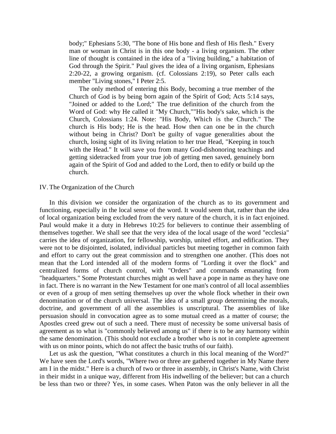body;" Ephesians 5:30, "The bone of His bone and flesh of His flesh." Every man or woman in Christ is in this one body - a living organism. The other line of thought is contained in the idea of a "living building," a habitation of God through the Spirit." Paul gives the idea of a living organism, Ephesians 2:20-22, a growing organism. (cf. Colossians 2:19), so Peter calls each member "Living stones," I Peter 2:5.

 The only method of entering this Body, becoming a true member of the Church of God is by being born again of the Spirit of God; Acts 5:14 says, "Joined or added to the Lord;" The true definition of the church from the Word of God: why He called it "My Church,""His body's sake, which is the Church, Colossians 1:24. Note: "His Body, Which is the Church." The church is His body; He is the head. How then can one be in the church without being in Christ? Don't be guilty of vague generalities about the church, losing sight of its living relation to her true Head, "Keeping in touch with the Head." It will save you from many God-dishonoring teachings and getting sidetracked from your true job of getting men saved, genuinely born again of the Spirit of God and added to the Lord, then to edify or build up the church.

#### IV. The Organization of the Church

 In this division we consider the organization of the church as to its government and functioning, especially in the local sense of the word. It would seem that, rather than the idea of local organization being excluded from the very nature of the church, it is in fact enjoined. Paul would make it a duty in Hebrews 10:25 for believers to continue their assembling of themselves together. We shall see that the very idea of the local usage of the word "ecclesia" carries the idea of organization, for fellowship, worship, united effort, and edification. They were not to be disjointed, isolated, individual particles but meeting together in common faith and effort to carry out the great commission and to strengthen one another. (This does not mean that the Lord intended all of the modern forms of "Lording it over the flock" and centralized forms of church control, with "Orders" and commands emanating from "headquarters." Some Protestant churches might as well have a pope in name as they have one in fact. There is no warrant in the New Testament for one man's control of all local assemblies or even of a group of men setting themselves up over the whole flock whether in their own denomination or of the church universal. The idea of a small group determining the morals, doctrine, and government of all the assemblies is unscriptural. The assemblies of like persuasion should in convocation agree as to some mutual creed as a matter of course; the Apostles creed grew out of such a need. There must of necessity be some universal basis of agreement as to what is "commonly believed among us" if there is to be any harmony within the same denomination. (This should not exclude a brother who is not in complete agreement with us on minor points, which do not affect the basic truths of our faith).

 Let us ask the question, "What constitutes a church in this local meaning of the Word?" We have seen the Lord's words, "Where two or three are gathered together in My Name there am I in the midst." Here is a church of two or three in assembly, in Christ's Name, with Christ in their midst in a unique way, different from His indwelling of the believer; but can a church be less than two or three? Yes, in some cases. When Paton was the only believer in all the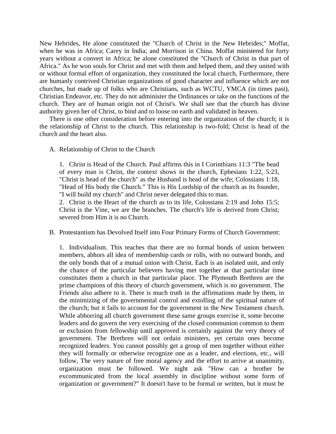New Hebrides, He alone constituted the "Church of Christ in the New Hebrides;" Moffat, when he was in Africa; Carey in India; and Morrison in China. Moffat ministered for forty years without a convert in Africa; he alone constituted the "Church of Christ in that part of Africa." As he won souls for Christ and met with them and helped them, and they united with or without formal effort of organization, they constituted the local church, Furthermore, there are humanly contrived Christian organizations of good character and influence which are not churches, but made up of folks who are Christians, such as WCTU, YMCA (in times past), Christian Endeavor, etc. They do not administer the Ordinances or take on the functions of the church. They are of human origin not of Christ's. We shall see that the church has divine authority given her of Christ, to bind and to loose on earth and validated in heaven.

 There is one other consideration before entering into the organization of the church; it is the relationship of Christ to the church. This relationship is two-fold; Christ is head of the church and the heart also.

#### A. Relationship of Christ to the Church

1. Christ is Head of the Church. Paul affirms this in I Corinthians 11:3 "The head of every man is Christ, the context shows in the church, Ephesians 1:22, 5:23, "Christ is head of the church" as the Husband is head of the wife; Colossians 1:18, "Head of His body the Church." This is His Lordship of the church as its founder, "I will build my church" and Christ never delegated this to man.

2. Christ is the Heart of the church as to its life, Colossians 2:19 and John 15:5; Christ is the Vine, we are the branches. The church's life is derived from Christ; severed from Him it is no Church.

## B. Protestantism has Devolved Itself into Four Primary Forms of Church Government:

1. Individualism. This teaches that there are no formal bonds of union between members, abhors all idea of membership cards or rolls, with no outward bonds, and the only bonds that of a mutual union with Christ. Each is an isolated unit, and only the chance of the particular believers having met together at that particular time constitutes them a church in that particular place. The Plymouth Brethren are the prime champions of this theory of church government, which is no government. The Friends also adhere to it. There is much truth in the affirmations made by them, in the minimizing of the governmental control and extolling of the spiritual nature of the church; but it fails to account for the government in the New Testament church. While abhorring all church government these same groups exercise it, some become leaders and do govern the very exercising of the closed communion common to them or exclusion from fellowship until approved is certainly against the very theory of government. The Brethren will not ordain ministers, yet certain ones become recognized leaders. You cannot possibly get a group of men together without either they will formally or otherwise recognize one as a leader, and elections, etc., will follow, The very nature of free moral agency and the effort to arrive at unanimity, organization must be followed. We night ask "How can a brother be excommunicated from the local assembly in discipline without some form of organization or government?" It doesn't have to be formal or written, but it must be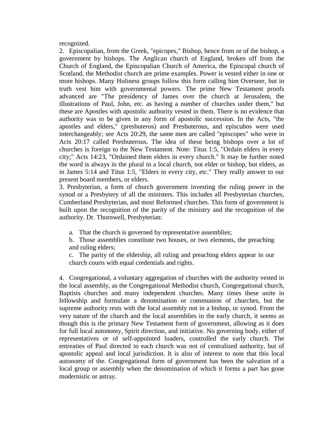recognized.

2. Episcopalian, from the Greek, "epicopes," Bishop, hence from or of the bishop, a government by bishops. The Anglican church of England, broken off from the Church of England, the Episcopalian Church of America, the Episcopal church of Scotland, the Methodist church are prime examples. Power is vested either in one or more bishops. Many Holiness groups follow this form calling him Overseer, but in truth vest him with governmental powers. The prime New Testament proofs advanced are "The presidency of James over the church at Jerusalem, the illustrations of Paul, John, etc. as having a number of churches under them," but these are Apostles with apostolic authority vested in them. There is no evidence that authority was to be given in any form of apostolic succession. In the Acts, "the apostles and elders," (presbuteros) and Presbuterous, and episcubos were used interchangeably; see Acts 20:29, the same men are called "episcopes" who were in Acts 20:17 called Presbuterous. The idea of these being bishops over a lot of churches is foreign to the New Testament. Note: Titus 1:5, "Ordain elders in every city;" Acts 14:23, "Ordained them elders in every church." It may be further noted the word is always in the plural in a local church, not elder or bishop, but elders, as in James 5:14 and Titus 1:5, "Elders in every city, etc." They really answer to our present board members, or elders.

3. Presbyterian, a form of church government investing the ruling power in the synod or a Presbytery of all the ministers. This includes all Presbyterian churches, Cumberland Presbyterian, and most Reformed churches. This form of government is built upon the recognition of the parity of the ministry and the recognition of the authority. Dr. Thornwell, Presbyterian:

a. That the church is governed by representative assemblies;

b. Those assemblies constitute two houses, or two elements, the preaching and ruling elders;

c. The parity of the eldership, all ruling and preaching elders appear in our church courts with equal credentials and rights.

4. Congregational, a voluntary aggregation of churches with the authority vested in the local assembly, as the Congregational Methodist church, Congregational church, Baptists churches and many independent churches. Many times these unite in fellowship and formulate a denomination or communion of churches, but the supreme authority rests with the local assembly not in a bishop, or synod. From the very nature of the church and the local assemblies in the early church, it seems as though this is the primary New Testament form of government, allowing as it does for full local autonomy, Spirit direction, and initiative. No governing body, either of representatives or of self-appointed loaders, controlled the early church. The entreaties of Paul directed to each church was not of centralized authority, but of apostolic appeal and local jurisdiction. It is also of interest to note that this local autonomy of the. Congregational form of government has been the salvation of a local group or assembly when the denomination of which it forms a part has gone modernistic or astray.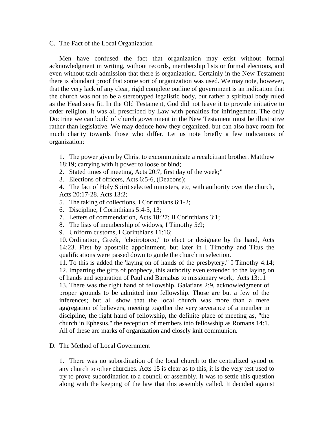C. The Fact of the Local Organization

 Men have confused the fact that organization may exist without formal acknowledgment in writing, without records, membership lists or formal elections, and even without tacit admission that there is organization. Certainly in the New Testament there is abundant proof that some sort of organization was used. We may note, however, that the very lack of any clear, rigid complete outline of government is an indication that the church was not to be a stereotyped legalistic body, but rather a spiritual body ruled as the Head sees fit. In the Old Testament, God did not leave it to provide initiative to order religion. It was all prescribed by Law with penalties for infringement. The only Doctrine we can build of church government in the New Testament must be illustrative rather than legislative. We may deduce how they organized. but can also have room for much charity towards those who differ. Let us note briefly a few indications of organization:

1. The power given by Christ to excommunicate a recalcitrant brother. Matthew

- 18:19; carrying with it power to loose or bind;
- 2. Stated times of meeting, Acts 20:7, first day of the week;"
- 3. Elections of officers, Acts 6:5-6, (Deacons);
- 4. The fact of Holy Spirit selected ministers, etc, with authority over the church, Acts 20:17-28. Acts 13:2;
- 5. The taking of collections, I Corinthians 6:1-2;
- 6. Discipline, I Corinthians 5:4-5, 13;
- 7. Letters of commendation, Acts 18:27; II Corinthians 3:1;
- 8. The lists of membership of widows, I Timothy 5:9;
- 9. Uniform customs, I Corinthians 11:16;

10. Ordination, Greek, "choirotorco," to elect or designate by the hand, Acts 14:23. First by apostolic appointment, but later in I Timothy and Titus the qualifications were passed down to guide the church in selection.

11. To this is added the 'laying on of hands of the presbytery," I Timothy 4:14; 12. Imparting the gifts of prophecy, this authority even extended to the laying on of hands and separation of Paul and Barnabas to missionary work, Acts 13:11

13. There was the right hand of fellowship, Galatians 2:9, acknowledgment of proper grounds to be admitted into fellowship. Those are but a few of the inferences; but all show that the local church was more than a mere aggregation of believers, meeting together the very severance of a member in discipline, the right hand of fellowship, the definite place of meeting as, "the church in Ephesus," the reception of members into fellowship as Romans 14:1. All of these are marks of organization and closely knit communion.

# D. The Method of Local Government

1. There was no subordination of the local church to the centralized synod or any church to other churches. Acts 15 is clear as to this, it is the very test used to try to prove subordination to a council or assembly. It was to settle this question along with the keeping of the law that this assembly called. It decided against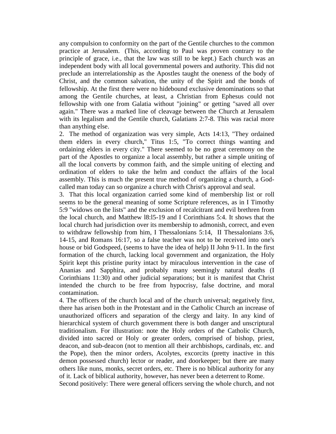any compulsion to conformity on the part of the Gentile churches to the common practice at Jerusalem. (This, according to Paul was proven contrary to the principle of grace, i.e., that the law was still to be kept.) Each church was an independent body with all local governmental powers and authority. This did not preclude an interrelationship as the Apostles taught the oneness of the body of Christ, and the common salvation, the unity of the Spirit and the bonds of fellowship. At the first there were no hidebound exclusive denominations so that among the Gentile churches, at least, a Christian from Ephesus could not fellowship with one from Galatia without "joining" or getting "saved all over again." There was a marked line of cleavage between the Church at Jerusalem with its legalism and the Gentile church, Galatians 2:7-8. This was racial more than anything else.

2. The method of organization was very simple, Acts 14:13, "They ordained them elders in every church," Titus 1:5, "To correct things wanting and ordaining elders in every city." There seemed to be no great ceremony on the part of the Apostles to organize a local assembly, but rather a simple uniting of all the local converts by common faith, and the simple uniting of electing and ordination of elders to take the helm and conduct the affairs of the local assembly. This is much the present true method of organizing a church, a Godcalled man today can so organize a church with Christ's approval and seal.

3. That this local organization carried some kind of membership list or roll seems to be the general meaning of some Scripture references, as in I Timothy 5:9 "widows on the lists" and the exclusion of recalcitrant and evil brethren from the local church, and Matthew l8:l5-19 and I Corinthians 5:4. It shows that the local church had jurisdiction over its membership to admonish, correct, and even to withdraw fellowship from him, I Thessalonians 5:14, II Thessalonians 3:6, 14-15, and Romans 16:17, so a false teacher was not to be received into one's house or bid Godspeed, (seems to have the idea of help) II John 9-11. In the first formation of the church, lacking local government and organization, the Holy Spirit kept this pristine purity intact by miraculous intervention in the case of Ananias and Sapphira, and probably many seemingly natural deaths (I Corinthians 11:30) and other judicial separations; but it is manifest that Christ intended the church to be free from hypocrisy, false doctrine, and moral contamination.

4. The officers of the church local and of the church universal; negatively first, there has arisen both in the Protestant and in the Catholic Church an increase of unauthorized officers and separation of the clergy and laity. In any kind of hierarchical system of church government there is both danger and unscriptural traditionalism. For illustration: note the Holy orders of the Catholic Church, divided into sacred or Holy or greater orders, comprised of bishop, priest, deacon, and sub-deacon (not to mention all their archbishops, cardinals, etc. and the Pope), then the minor orders, Acolytes, excorcits (pretty inactive in this demon possessed church) lector or reader, and doorkeeper; but there are many others like nuns, monks, secret orders, etc. There is no biblical authority for any of it. Lack of biblical authority, however, has never been a deterrent to Rome.

Second positively: There were general officers serving the whole church, and not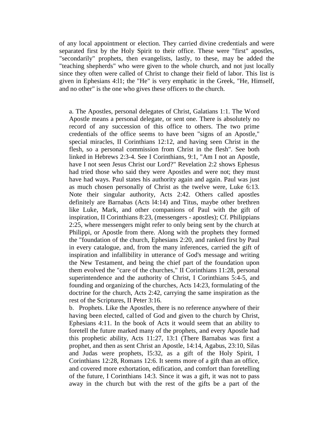of any local appointment or election. They carried divine credentials and were separated first by the Holy Spirit to their office. These were "first" apostles, "secondarily" prophets, then evangelists, lastly, to these, may be added the "teaching shepherds" who were given to the whole church, and not just locally since they often were called of Christ to change their field of labor. This list is given in Ephesians 4:l1; the "He" is very emphatic in the Greek, "He, Himself, and no other" is the one who gives these officers to the church.

a. The Apostles, personal delegates of Christ, Galatians 1:1. The Word Apostle means a personal delegate, or sent one. There is absolutely no record of any succession of this office to others. The two prime credentials of the office seems to have been "signs of an Apostle," special miracles, II Corinthians 12:12, and having seen Christ in the flesh, so a personal commission from Christ in the flesh". See both linked in Hebrews 2:3-4. See I Corinthians, 9:1, "Am I not an Apostle, have I not seen Jesus Christ our Lord?" Revelation 2:2 shows Ephesus had tried those who said they were Apostles and were not; they must have had ways. Paul states his authority again and again. Paul was just as much chosen personally of Christ as the twelve were, Luke 6:13. Note their singular authority, Acts 2:42. Others called apostles definitely are Barnabas (Acts l4:14) and Titus, maybe other brethren like Luke, Mark, and other companions of Paul with the gift of inspiration, II Corinthians 8:23, (messengers - apostles); Cf. Philippians 2:25, where messengers might refer to only being sent by the church at Philippi, or Apostle from there. Along with the prophets they formed the "foundation of the church, Ephesians 2:20, and ranked first by Paul in every catalogue, and, from the many inferences, carried the gift of inspiration and infallibility in utterance of God's message and writing the New Testament, and being the chief part of the foundation upon them evolved the "care of the churches," II Corinthians 11:28, personal superintendence and the authority of Christ, I Corinthians 5:4-5, and founding and organizing of the churches, Acts 14:23, formulating of the doctrine for the church, Acts 2:42, carrying the same inspiration as the rest of the Scriptures, II Peter 3:16.

b. Prophets. Like the Apostles, there is no reference anywhere of their having been elected, cal1ed of God and given to the church by Christ, Ephesians 4:11. In the book of Acts it would seem that an ability to foretell the future marked many of the prophets, and every Apostle had this prophetic ability, Acts 11:27, 13:1 (There Barnabas was first a prophet, and then as sent Christ an Apostle, 14:14, Agabus, 23:10, Silas and Judas were prophets, l5:32, as a gift of the Holy Spirit, I Corinthians 12:28, Romans 12:6. It seems more of a gift than an office, and covered more exhortation, edification, and comfort than foretelling of the future, I Corinthians 14:3. Since it was a gift, it was not to pass away in the church but with the rest of the gifts be a part of the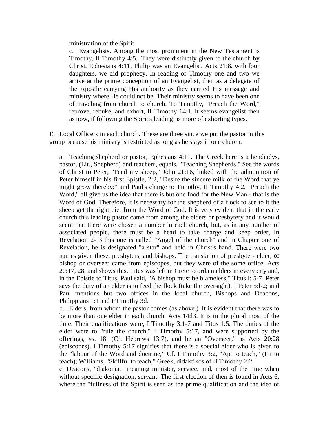ministration of the Spirit.

c. Evangelists. Among the most prominent in the New Testament is Timothy, II Timothy 4:5. They were distinctly given to the church by Christ, Ephesians 4:11, Philip was an Evangelist, Acts 21:8, with four daughters, we did prophecy. In reading of Timothy one and two we arrive at the prime conception of an Evangelist, then as a delegate of the Apostle carrying His authority as they carried His message and ministry where He could not be. Their ministry seems to have been one of traveling from church to church. To Timothy, "Preach the Word," reprove, rebuke, and exhort, II Timothy 14:1. It seems evangelist then as now, if following the Spirit's leading, is more of exhorting types.

E. Local Officers in each church. These are three since we put the pastor in this group because his ministry is restricted as long as he stays in one church.

a. Teaching shepherd or pastor, Ephesians 4:11. The Greek here is a hendiadys, pastor, (Lit., Shepherd) and teachers, equals, "Teaching Shepherds." See the words of Christ to Peter, "Feed my sheep," John 21:16, linked with the admonition of Peter himself in his first Epistle, 2:2, "Desire the sincere milk of the Word that ye might grow thereby;" and Paul's charge to Timothy, II Timothy 4:2, "Preach the Word," all give us the idea that there is but one food for the New Man - that is the Word of God. Therefore, it is necessary for the shepherd of a flock to see to it the sheep get the right diet from the Word of God. It is very evident that in the early church this leading pastor came from among the elders or presbytery and it would seem that there were chosen a number in each church, but, as in any number of associated people, there must be a head to take charge and keep order, In Revelation 2- 3 this one is called "Angel of the church" and in Chapter one of Revelation, he is designated "a star" and held in Christ's hand. There were two names given these, presbyters, and bishops. The translation of presbyter- elder; of bishop or overseer came from episcopes, but they were of the some office, Acts 20:17, 28, and shows this. Titus was left in Crete to ordain elders in every city and, in the Epistle to Titus, Paul said, "A bishop must be blameless," Titus l: 5-7. Peter says the duty of an elder is to feed the flock (take the oversight), I Peter 5:l-2; and Paul mentions but two offices in the local church, Bishops and Deacons, Philippians 1:1 and I Timothy 3:l.

b. Elders, from whom the pastor comes (as above.) It is evident that there was to be more than one elder in each church, Acts 14:l3. It is in the plural most of the time. Their qualifications were, I Timothy 3:1-7 and Titus 1:5. The duties of the elder were to "rule the church," I Timothy 5:17, and were supported by the offerings, vs. 18. (Cf. Hebrews 13:7), and be an "Overseer," as Acts 20:28 (episcopes). I Timothy 5:17 signifies that there is a special elder who is given to the "labour of the Word and doctrine," Cf. I Timothy 3:2, "Apt to teach," (Fit to teach); Williams, "Skillful to teach," Greek, didaktikos of II Timothy 2:2

c. Deacons, "diakonia," meaning minister, service, and, most of the time when without specific designation, servant. The first election of then is found in Acts 6, where the "fullness of the Spirit is seen as the prime qualification and the idea of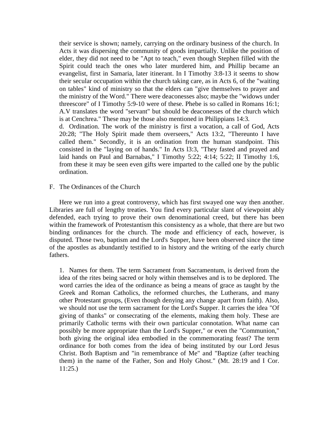their service is shown; namely, carrying on the ordinary business of the church. In Acts it was dispersing the community of goods impartially. Unlike the position of elder, they did not need to be "Apt to teach," even though Stephen filled with the Spirit could teach the ones who later murdered him, and Phillip became an evangelist, first in Samaria, later itinerant. In I Timothy 3:8-13 it seems to show their secular occupation within the church taking care, as in Acts 6, of the "waiting on tables" kind of ministry so that the elders can "give themselves to prayer and the ministry of the Word." There were deaconesses also; maybe the "widows under threescore" of I Timothy 5:9-10 were of these. Phebe is so called in Romans 16:1; A.V translates the word "servant" but should be deaconesses of the church which is at Cenchrea." These may be those also mentioned in Philippians 14:3.

d. Ordination. The work of the ministry is first a vocation, a call of God, Acts 20:28; "The Holy Spirit made them overseers," Acts 13:2, "Thereunto I have called them." Secondly, it is an ordination from the human standpoint. This consisted in the "laying on of hands." In Acts l3:3, "They fasted and prayed and laid hands on Paul and Barnabas," I Timothy 5:22; 4:14; 5:22; II Timothy 1:6, from these it may be seen even gifts were imparted to the called one by the public ordination.

### F. The Ordinances of the Church

 Here we run into a great controversy, which has first swayed one way then another. Libraries are full of lengthy treaties. You find every particular slant of viewpoint ably defended, each trying to prove their own denominational creed, but there has been within the framework of Protestantism this consistency as a whole, that there are but two binding ordinances for the church. The mode and efficiency of each, however, is disputed. Those two, baptism and the Lord's Supper, have been observed since the time of the apostles as abundantly testified to in history and the writing of the early church fathers.

1. Names for them. The term Sacrament from Sacramentum, is derived from the idea of the rites being sacred or holy within themselves and is to be deplored. The word carries the idea of the ordinance as being a means of grace as taught by the Greek and Roman Catholics, the reformed churches, the Lutherans, and many other Protestant groups, (Even though denying any change apart from faith). Also, we should not use the term sacrament for the Lord's Supper. It carries the idea "Of giving of thanks" or consecrating of the elements, making them holy. These are primarily Catholic terms with their own particular connotation. What name can possibly be more appropriate than the Lord's Supper," or even the "Communion," both giving the original idea embodied in the commemorating feast? The term ordinance for both comes from the idea of being instituted by our Lord Jesus Christ. Both Baptism and "in remembrance of Me" and "Baptize (after teaching them) in the name of the Father, Son and Holy Ghost." (Mt. 28:19 and I Cor. 11:25.)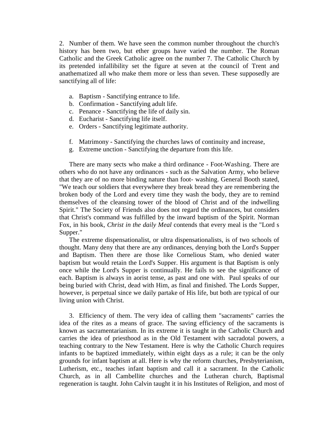2. Number of them. We have seen the common number throughout the church's history has been two, but ether groups have varied the number. The Roman Catholic and the Greek Catholic agree on the number 7. The Catholic Church by its pretended infallibility set the figure at seven at the council of Trent and anathematized all who make them more or less than seven. These supposedly are sanctifying all of life:

- a. Baptism Sanctifying entrance to life.
- b. Confirmation Sanctifying adult life.
- c. Penance Sanctifying the life of daily sin.
- d. Eucharist Sanctifying life itself.
- e. Orders Sanctifying legitimate authority.
- f. Matrimony Sanctifying the churches laws of continuity and increase,
- g. Extreme unction Sanctifying the departure from this life.

 There are many sects who make a third ordinance - Foot-Washing. There are others who do not have any ordinances - such as the Salvation Army, who believe that they are of no more binding nature than foot- washing. General Booth stated, "We teach our soldiers that everywhere they break bread they are remembering the broken body of the Lord and every time they wash the body, they are to remind themselves of the cleansing tower of the blood of Christ and of the indwelling Spirit." The Society of Friends also does not regard the ordinances, but considers that Christ's command was fulfilled by the inward baptism of the Spirit. Norman Fox, in his book, *Christ in the daily Meal* contends that every meal is the "Lord s Supper."

 The extreme dispensationalist, or ultra dispensationalists, is of two schools of thought. Many deny that there are any ordinances, denying both the Lord's Supper and Baptism. Then there are those like Cornelious Stam, who denied water baptism but would retain the Lord's Supper. His argument is that Baptism is only once while the Lord's Supper is continually. He fails to see the significance of each. Baptism is always in aorist tense, as past and one with. Paul speaks of our being buried with Christ, dead with Him, as final and finished. The Lords Supper, however, is perpetual since we daily partake of His life, but both are typical of our living union with Christ.

 3. Efficiency of them. The very idea of calling them "sacraments" carries the idea of the rites as a means of grace. The saving efficiency of the sacraments is known as sacramentarianism. In its extreme it is taught in the Catholic Church and carries the idea of priesthood as in the Old Testament with sacradotal powers, a teaching contrary to the New Testament. Here is why the Catholic Church requires infants to be baptized immediately, within eight days as a rule; it can be the only grounds for infant baptism at all. Here is why the reform churches, Presbyterianism, Lutherism, etc., teaches infant baptism and call it a sacrament. In the Catholic Church, as in all Cambellite churches and the Lutheran church, Baptismal regeneration is taught. John Calvin taught it in his Institutes of Religion, and most of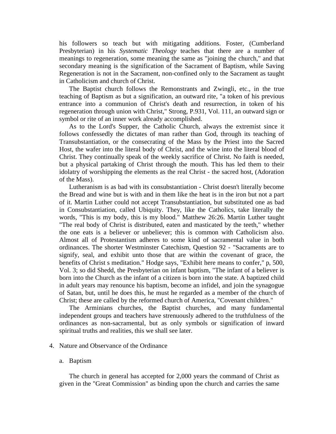his followers so teach but with mitigating additions. Foster, (Cumberland Presbyterian) in his *Systematic Theology* teaches that there are a number of meanings to regeneration, some meaning the same as "joining the church," and that secondary meaning is the signification of the Sacrament of Baptism, while Saving Regeneration is not in the Sacrament, non-confined only to the Sacrament as taught in Catholicism and church of Christ.

 The Baptist church follows the Remonstrants and Zwingli, etc., in the true teaching of Baptism as but a signification, an outward rite, "a token of his previous entrance into a communion of Christ's death and resurrection, in token of his regeneration through union with Christ," Strong, P.931, Vol. 111, an outward sign or symbol or rite of an inner work already accomplished.

 As to the Lord's Supper, the Catholic Church, always the extremist since it follows confessedly the dictates of man rather than God, through its teaching of Transubstantiation, or the consecrating of the Mass by the Priest into the Sacred Host, the wafer into the literal body of Christ, and the wine into the literal blood of Christ. They continually speak of the weekly sacrifice of Christ. No faith is needed, but a physical partaking of Christ through the mouth. This has led them to their idolatry of worshipping the elements as the real Christ - the sacred host, (Adoration of the Mass).

 Lutheranism is as bad with its consubstantiation - Christ doesn't literally become the Bread and wine but is with and in them like the heat is in the iron but not a part of it. Martin Luther could not accept Transubstantiation, but substituted one as bad in Consubstantiation, called Ubiquity. They, like the Catholics, take literally the words, "This is my body, this is my blood." Matthew 26:26. Martin Luther taught "The real body of Christ is distributed, eaten and masticated by the teeth," whether the one eats is a believer or unbeliever; this is common with Catholicism also. Almost all of Protestantism adheres to some kind of sacramental value in both ordinances. The shorter Westminster Catechism, Question 92 - "Sacraments are to signify, seal, and exhibit unto those that are within the covenant of grace, the benefits of Christ s meditation." Hodge says, "Exhibit here means to confer," p, 500, Vol. 3; so did Shedd, the Presbyterian on infant baptism, "The infant of a believer is born into the Church as the infant of a citizen is born into the state. A baptized child in adult years may renounce his baptism, become an infidel, and join the synagogue of Satan, but, until he does this, he must he regarded as a member of the church of Christ; these are called by the reformed church of America, "Covenant children."

 The Arminians churches, the Baptist churches, and many fundamental independent groups and teachers have strenuously adhered to the truthfulness of the ordinances as non-sacramental, but as only symbols or signification of inward spiritual truths and realities, this we shall see later.

## 4. Nature and Observance of the Ordinance

#### a. Baptism

 The church in general has accepted for 2,000 years the command of Christ as given in the "Great Commission" as binding upon the church and carries the same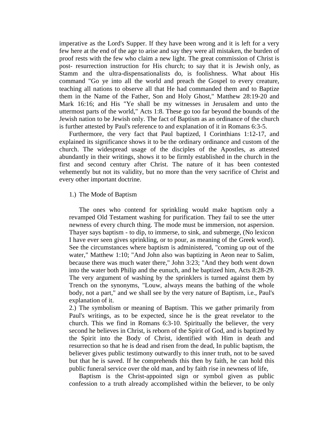imperative as the Lord's Supper. If they have been wrong and it is left for a very few here at the end of the age to arise and say they were all mistaken, the burden of proof rests with the few who claim a new light. The great commission of Christ is post- resurrection instruction for His church; to say that it is Jewish only, as Stamm and the ultra-dispensationalists do, is foolishness. What about His command "Go ye into all the world and preach the Gospel to every creature, teaching all nations to observe all that He had commanded them and to Baptize them in the Name of the Father, Son and Holy Ghost," Matthew 28:19-20 and Mark 16:16; and His "Ye shall be my witnesses in Jerusalem and unto the uttermost parts of the world," Acts 1:8. These go too far beyond the bounds of the Jewish nation to be Jewish only. The fact of Baptism as an ordinance of the church is further attested by Paul's reference to and explanation of it in Romans 6:3-5.

 Furthermore, the very fact that Paul baptized, I Corinthians 1:12-17, and explained its significance shows it to be the ordinary ordinance and custom of the church. The widespread usage of the disciples of the Apostles, as attested abundantly in their writings, shows it to be firmly established in the church in the first and second century after Christ. The nature of it has been contested vehemently but not its validity, but no more than the very sacrifice of Christ and every other important doctrine.

### 1.) The Mode of Baptism

 The ones who contend for sprinkling would make baptism only a revamped Old Testament washing for purification. They fail to see the utter newness of every church thing. The mode must be immersion, not aspersion. Thayer says baptism - to dip, to immerse, to sink, and submerge, (No lexicon I have ever seen gives sprinkling, or to pour, as meaning of the Greek word). See the circumstances where baptism is administered, "coming up out of the water," Matthew 1:10; "And John also was baptizing in Aeon near to Salim, because there was much water there," John 3:23; "And they both went down into the water both Philip and the eunuch, and he baptized him, Acts 8:28-29. The very argument of washing by the sprinklers is turned against them by Trench on the synonyms, "Louw, always means the bathing of the whole body, not a part," and we shall see by the very nature of Baptism, i.e., Paul's explanation of it.

2.) The symbolism or meaning of Baptism. This we gather primarily from Paul's writings, as to be expected, since he is the great revelator to the church. This we find in Romans 6:3-10. Spiritually the believer, the very second he believes in Christ, is reborn of the Spirit of God, and is baptized by the Spirit into the Body of Christ, identified with Him in death and resurrection so that he is dead and risen from the dead, In public baptism, the believer gives public testimony outwardly to this inner truth, not to be saved but that he is saved. If he comprehends this then by faith, he can hold this public funeral service over the old man, and by faith rise in newness of life,

 Baptism is the Christ-appointed sign or symbol given as public confession to a truth already accomplished within the believer, to be only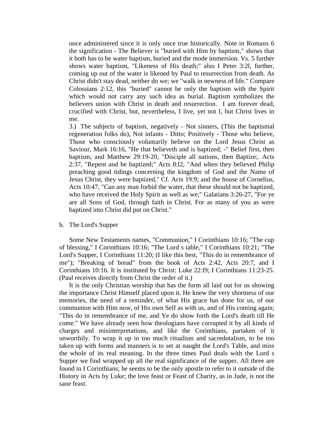once administered since it is only once true historically. Note in Romans 6 the signification - The Believer is "buried with Him by baptism," shows that it both has to be water baptism, buried and the mode immersion. Vs. 5 further shows water baptism, "Likeness of His death;" also I Peter 3:2l, further, coming up out of the water is likened by Paul to resurrection from death. As Christ didn't stay dead, neither do we; we "walk in newness of life." Compare Colossians 2:12, this "buried" cannot be only the baptism with the Spirit which would not carry any such idea as burial. Baptism symbolizes the believers union with Christ in death and resurrection. I am forever dead, crucified with Christ, but, nevertheless, I live, yet not I, but Christ lives in me.

3.) The subjects of baptism, negatively - Not sinners, (This the baptismal regeneration folks do), Not infants - Ditto; Positively - Those who believe, Those who consciously voluntarily believe on the Lord Jesus Christ as Saviour, Mark 16:16, "He that believeth and is baptized; -" Belief first, then baptism, and Matthew 29:19-20, "Disciple all nations, then Baptize;. Acts 2:37, "Repent and be baptized;" Acts 8:l2, "And when they believed Philip preaching good tidings concerning the kingdom of God and the Name of Jesus Christ, they were baptized," Cf. Acts 19:9; and the house of Cornelius, Acts 10:47, "Can any man forbid the water, that these should not be baptized, who have received the Holy Spirit as well as we;" Galatians 3:26-27, "For ye are all Sons of God, through faith in Christ. For as many of you as were baptized into Christ did put on Christ."

#### b. The Lord's Supper

 Some New Testaments names, "Communion," I Corinthians 10:16; "The cup of blessing," I Corinthians 10:16; "The Lord s table," I Corinthians 10:21; "The Lord's Supper, I Corinthians 11:20; (I like this best, "This do in remembrance of me"); "Breaking of bread" from the book of Acts 2:42, Acts 20:7, and I Corinthians 10:16. It is instituted by Christ: Luke 22:l9; I Corinthians 11:23-25. (Paul receives directly from Christ the order of it.)

 It is the only Christian worship that has the form all laid out for us showing the importance Christ Himself placed upon it. He knew the very shortness of our memories, the need of a reminder, of what His grace has done for us, of our communion with Him now, of His own Self as with us, and of His coming again; "This do in remembrance of me, and Ye do show forth the Lord's death till He come." We have already seen how theologians have corrupted it by all kinds of charges and misinterpretations, and like the Corinthians, partaken of it unworthily. To wrap it up in too much ritualism and sacredotalism, to be too taken up with forms and manners is to set at naught the Lord's Table, and miss the whole of its real meaning. In the three times Paul deals with the Lord s Supper we find wrapped up all the real significance of the supper. All three are found in I Corinthians; he seems to be the only apostle to refer to it outside of the History in Acts by Luke; the love feast or Feast of Charity, as in Jude, is not the sane feast.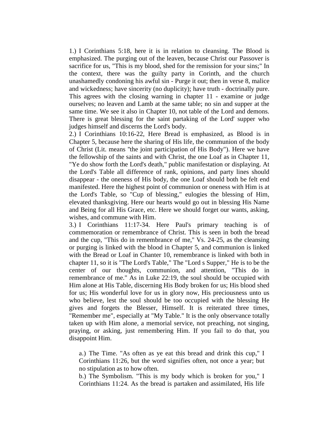1.) I Corinthians 5:18, here it is in relation to cleansing. The Blood is emphasized. The purging out of the leaven, because Christ our Passover is sacrifice for us, "This is my blood, shed for the remission for your sins;" In the context, there was the guilty party in Corinth, and the church unashamedly condoning his awful sin - Purge it out; then in verse 8, malice and wickedness; have sincerity (no duplicity); have truth - doctrinally pure. This agrees with the closing warning in chapter 11 - examine or judge ourselves; no leaven and Lamb at the same table; no sin and supper at the same time. We see it also in Chapter 10, not table of the Lord and demons. There is great blessing for the saint partaking of the Lord' supper who judges himself and discerns the Lord's body.

2.) I Corinthians 10:16-22, Here Bread is emphasized, as Blood is in Chapter 5, because here the sharing of His life, the communion of the body of Christ (Lit. means ''the joint participation of His Body"). Here we have the fellowship of the saints and with Christ, the one Loaf as in Chapter 11, "Ye do show forth the Lord's death," public manifestation or displaying. At the Lord's Table all difference of rank, opinions, and party lines should disappear - the oneness of His body, the one Loaf should both be felt end manifested. Here the highest point of communion or oneness with Him is at the Lord's Table, so "Cup of blessing," eulogies the blessing of Him, elevated thanksgiving. Here our hearts would go out in blessing His Name and Being for all His Grace, etc. Here we should forget our wants, asking, wishes, and commune with Him.

3.) I Corinthians 11:17-34. Here Paul's primary teaching is of commemoration or remembrance of Christ. This is seen in both the bread and the cup, "This do in remembrance of me," Vs. 24-25, as the cleansing or purging is linked with the blood in Chapter 5, and communion is linked with the Bread or Loaf in Chanter 10, remembrance is linked with both in chapter 11, so it is "The Lord's Table," The "Lord s Supper," He is to be the center of our thoughts, communion, and attention, "This do in remembrance of me." As in Luke 22:19, the soul should be occupied with Him alone at His Table, discerning His Body broken for us; His blood shed for us; His wonderful love for us in glory now, His preciousness unto us who believe, lest the soul should be too occupied with the blessing He gives and forgets the Blesser, Himself. It is reiterated three times, "Remember me", especially at "My Table." It is the only observance totally taken up with Him alone, a memorial service, not preaching, not singing, praying, or asking, just remembering Him. If you fail to do that, you disappoint Him.

a.) The Time. "As often as ye eat this bread and drink this cup," I Corinthians 11:26, but the word signifies often, not once a year; but no stipulation as to how often.

b.) The Symbolism. "This is my body which is broken for you," I Corinthians 11:24. As the bread is partaken and assimilated, His life